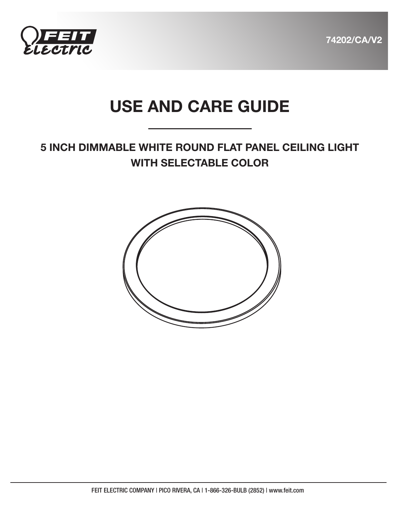



# USE AND CARE GUIDE

## 5 INCH DIMMABLE WHITE ROUND FLAT PANEL CEILING LIGHT WITH SELECTABLE COLOR

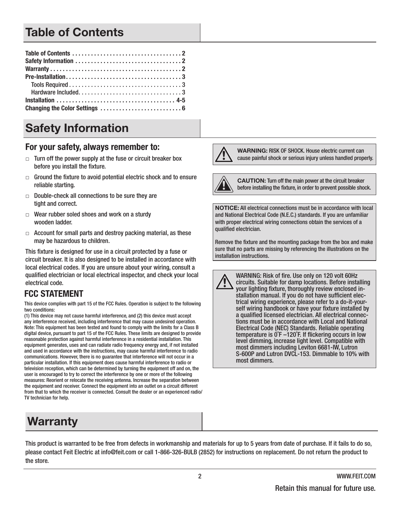# Table of Contents

# Safety Information

### For your safety, always remember to:

- $\Box$  Turn off the power supply at the fuse or circuit breaker box before you install the fixture.
- $\Box$  Ground the fixture to avoid potential electric shock and to ensure reliable starting.
- $\Box$  Double-check all connections to be sure they are tight and correct.
- $\Box$  Wear rubber soled shoes and work on a sturdy wooden ladder.
- $\Box$  Account for small parts and destroy packing material, as these may be hazardous to children.

This fixture is designed for use in a circuit protected by a fuse or circuit breaker. It is also designed to be installed in accordance with local electrical codes. If you are unsure about your wiring, consult a qualified electrician or local electrical inspector, and check your local electrical code.

## **FCC STATEMENT**

This device complies with part 15 of the FCC Rules. Operation is subject to the following two conditions:

(1) This device may not cause harmful interference, and (2) this device must accept any interference received, including interference that may cause undesired operation. Note: This equipment has been tested and found to comply with the limits for a Class B digital device, pursuant to part 15 of the FCC Rules. These limits are designed to provide reasonable protection against harmful interference in a residential installation. This equipment generates, uses and can radiate radio frequency energy and, if not installed and used in accordance with the instructions, may cause harmful interference to radio communications. However, there is no guarantee that interference will not occur in a particular installation. If this equipment does cause harmful interference to radio or television reception, which can be determined by turning the equipment off and on, the user is encouraged to try to correct the interference by one or more of the following measures: Reorient or relocate the receiving antenna. Increase the separation between the equipment and receiver. Connect the equipment into an outlet on a circuit different from that to which the receiver is connected. Consult the dealer or an experienced radio/ TV technician for help.

## Warranty

WARNING: RISK OF SHOCK. House electric current can cause painful shock or serious injury unless handled properly.



CAUTION: Turn off the main power at the circuit breaker before installing the fixture, in order to prevent possible shock.

NOTICE: All electrical connections must be in accordance with local and National Electrical Code (N.E.C.) standards. If you are unfamiliar with proper electrical wiring connections obtain the services of a qualified electrician.

Remove the fixture and the mounting package from the box and make sure that no parts are missing by referencing the illustrations on the installation instructions.

WARNING: Risk of fire. Use only on 120 volt 60Hz circuits. Suitable for damp locations. Before installing your lighting fixture, thoroughly review enclosed installation manual. If you do not have sufficient electrical wiring experience, please refer to a do-it-yourself wiring handbook or have your fixture installed by a qualified licensed electrician. All electrical connections must be in accordance with Local and National Electrical Code (NEC) Standards. Reliable operating temperature is 0˚F –120˚F. If flickering occurs in low level dimming, increase light level. Compatible with most dimmers including Leviton 6681-IW, Lutron S-600P and Lutron DVCL-153. Dimmable to 10% with most dimmers.

This product is warranted to be free from defects in workmanship and materials for up to 5 years from date of purchase. If it fails to do so, please contact Feit Electric at info@feit.com or call 1-866-326-BULB (2852) for instructions on replacement. Do not return the product to the store.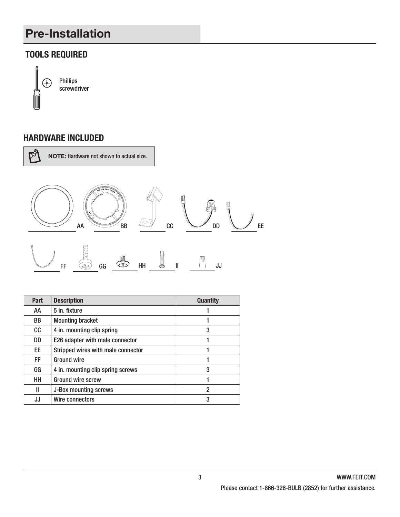# Pre-Installation

## **TOOLS REQUIRED**



Phillips screwdriver

### **HARDWARE INCLUDED**



NOTE: Hardware not shown to actual size.



| Part | <b>Description</b>                 | <b>Quantity</b> |
|------|------------------------------------|-----------------|
| AA   | 5 in. fixture                      |                 |
| BB   | <b>Mounting bracket</b>            |                 |
| cc   | 4 in. mounting clip spring         | 3               |
| DD   | E26 adapter with male connector    |                 |
| EE   | Stripped wires with male connector |                 |
| FF.  | Ground wire                        | 1               |
| GG   | 4 in. mounting clip spring screws  | 3               |
| HH   | <b>Ground wire screw</b>           |                 |
| Ш    | J-Box mounting screws              | 2               |
| JJ   | Wire connectors                    | 3               |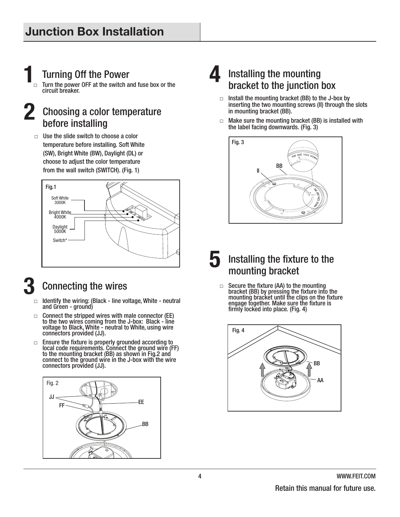# **1 11 Turning Off the Power**<br>□ Turn the power OFF at the switch a

Turn the power OFF at the switch and fuse box or the circuit breaker.

## **2** Choosing a color temperature before installing

 $\Box$  Use the slide switch to choose a color temperature before installing. Soft White (SW), Bright White (BW), Daylight (DL) or choose to adjust the color temperature from the wall switch (SWITCH). (Fig. 1)



# **3** Connecting the wires<br> $\Box$  Identify the wiring: (Black - line vo

- Identify the wiring: (Black line voltage, White neutral and Green - ground)
- $\Box$  Connect the stripped wires with male connector (EE) to the two wires coming from the J-box: Black - line voltage to Black, White - neutral to White, using wire connectors provided (JJ).
- $\Box$  Ensure the fixture is properly grounded according to local code requirements. Connect the ground wire (FF) to the mounting bracket (BB) as shown in Fig.2 and connect to the ground wire in the J-box with the wire connectors provided (JJ).



## **4** Installing the mounting bracket to the junction box

- $\Box$  Install the mounting bracket (BB) to the J-box by inserting the two mounting screws (II) through the slots in mounting bracket (BB).
- $\Box$  Make sure the mounting bracket (BB) is installed with the label facing downwards. (Fig. 3)



- **5** Installing the fixture to the mounting bracket
	- $\Box$  Secure the fixture (AA) to the mounting bracket (BB) by pressing the fixture into the mounting bracket until the clips on the fixture engage together. Make sure the fixture is firmly locked into place. (Fig. 4)

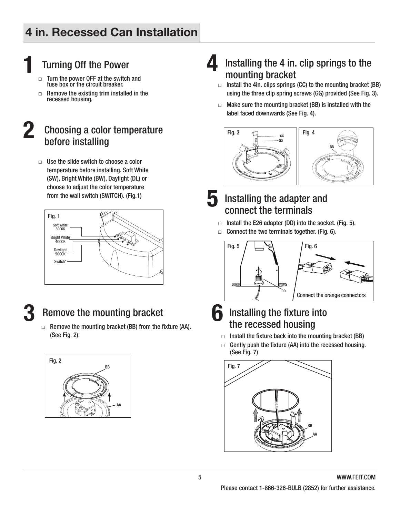# **11 Turning Off the Power**<br> **1** Turn the power OFF at the switch

- Turn the power OFF at the switch and fuse box or the circuit breaker.
- $\Box$  Remove the existing trim installed in the recessed housing.

## **2** Choosing a color temperature before installing

 $\Box$  Use the slide switch to choose a color temperature before installing. Soft White (SW), Bright White (BW), Daylight (DL) or choose to adjust the color temperature from the wall switch (SWITCH). (Fig.1)



## **3** Remove the mounting bracket

□ Remove the mounting bracket (BB) from the fixture (AA). (See Fig. 2).



## **4** Installing the 4 in. clip springs to the mounting bracket

- $\Box$  Install the 4in. clips springs (CC) to the mounting bracket (BB) using the three clip spring screws (GG) provided (See Fig. 3).
- $\Box$  Make sure the mounting bracket (BB) is installed with the label faced downwards (See Fig. 4).



- **5** Installing the adapter and connect the terminals
	- $\Box$  Install the E26 adapter (DD) into the socket. (Fig. 5).
	- $\Box$  Connect the two terminals together. (Fig. 6).



## **6** Installing the fixture into the recessed housing

- $\Box$  Install the fixture back into the mounting bracket (BB)
- $\Box$  Gently push the fixture (AA) into the recessed housing. (See Fig. 7)